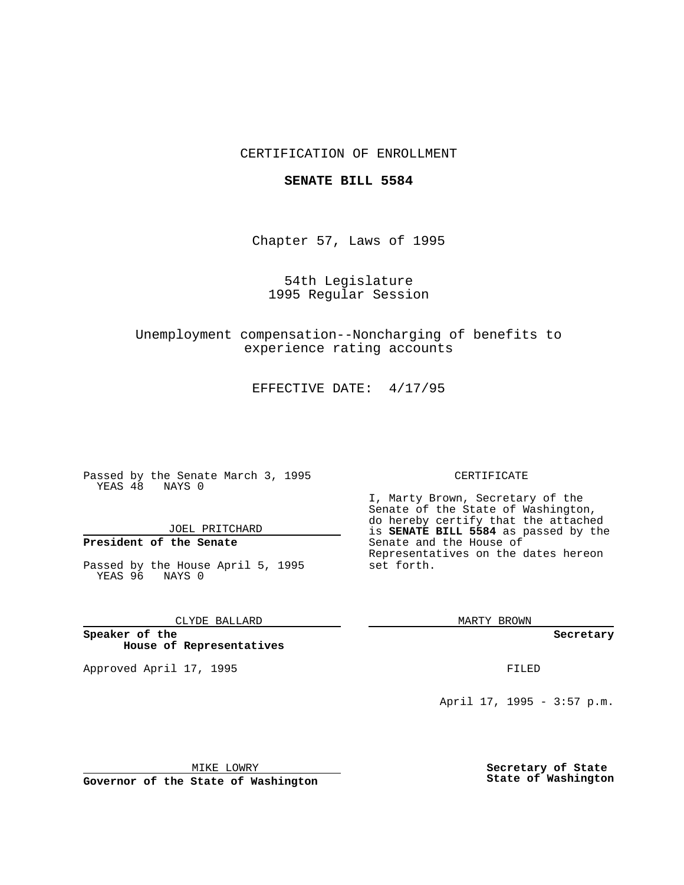## CERTIFICATION OF ENROLLMENT

### **SENATE BILL 5584**

Chapter 57, Laws of 1995

54th Legislature 1995 Regular Session

Unemployment compensation--Noncharging of benefits to experience rating accounts

EFFECTIVE DATE: 4/17/95

Passed by the Senate March 3, 1995 YEAS 48 NAYS 0

JOEL PRITCHARD

# **President of the Senate**

Passed by the House April 5, 1995 YEAS 96 NAYS 0

CLYDE BALLARD

**Speaker of the House of Representatives**

Approved April 17, 1995 **FILED** 

#### CERTIFICATE

I, Marty Brown, Secretary of the Senate of the State of Washington, do hereby certify that the attached is **SENATE BILL 5584** as passed by the Senate and the House of Representatives on the dates hereon set forth.

MARTY BROWN

**Secretary**

April 17, 1995 - 3:57 p.m.

MIKE LOWRY **Governor of the State of Washington** **Secretary of State State of Washington**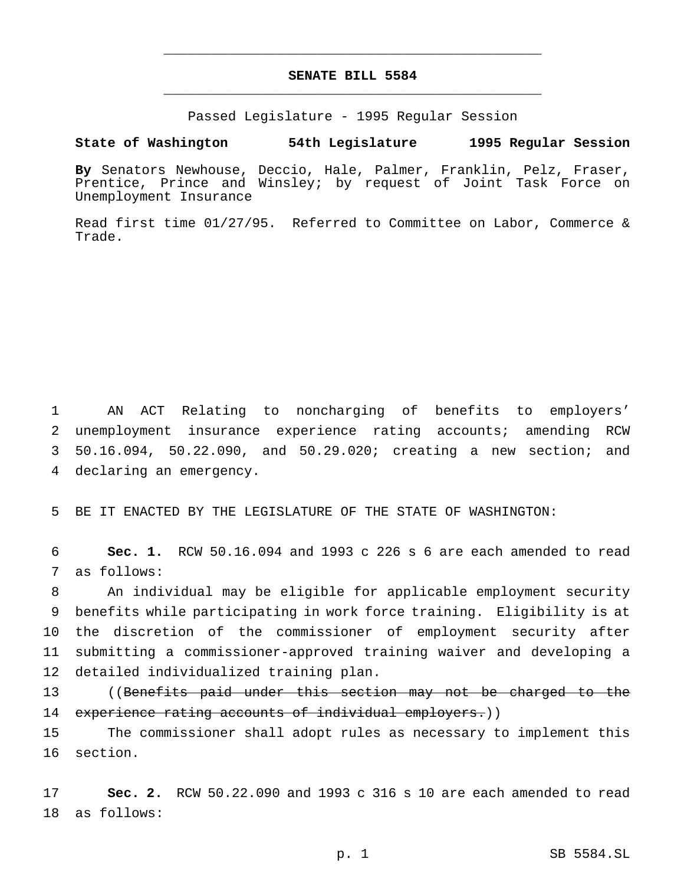## **SENATE BILL 5584** \_\_\_\_\_\_\_\_\_\_\_\_\_\_\_\_\_\_\_\_\_\_\_\_\_\_\_\_\_\_\_\_\_\_\_\_\_\_\_\_\_\_\_\_\_\_\_

\_\_\_\_\_\_\_\_\_\_\_\_\_\_\_\_\_\_\_\_\_\_\_\_\_\_\_\_\_\_\_\_\_\_\_\_\_\_\_\_\_\_\_\_\_\_\_

Passed Legislature - 1995 Regular Session

### **State of Washington 54th Legislature 1995 Regular Session**

**By** Senators Newhouse, Deccio, Hale, Palmer, Franklin, Pelz, Fraser, Prentice, Prince and Winsley; by request of Joint Task Force on Unemployment Insurance

Read first time 01/27/95. Referred to Committee on Labor, Commerce & Trade.

 AN ACT Relating to noncharging of benefits to employers' unemployment insurance experience rating accounts; amending RCW 50.16.094, 50.22.090, and 50.29.020; creating a new section; and declaring an emergency.

5 BE IT ENACTED BY THE LEGISLATURE OF THE STATE OF WASHINGTON:

6 **Sec. 1.** RCW 50.16.094 and 1993 c 226 s 6 are each amended to read 7 as follows:

 An individual may be eligible for applicable employment security benefits while participating in work force training. Eligibility is at the discretion of the commissioner of employment security after submitting a commissioner-approved training waiver and developing a detailed individualized training plan.

13 ((Benefits paid under this section may not be charged to the 14 experience rating accounts of individual employers.))

15 The commissioner shall adopt rules as necessary to implement this 16 section.

17 **Sec. 2.** RCW 50.22.090 and 1993 c 316 s 10 are each amended to read 18 as follows: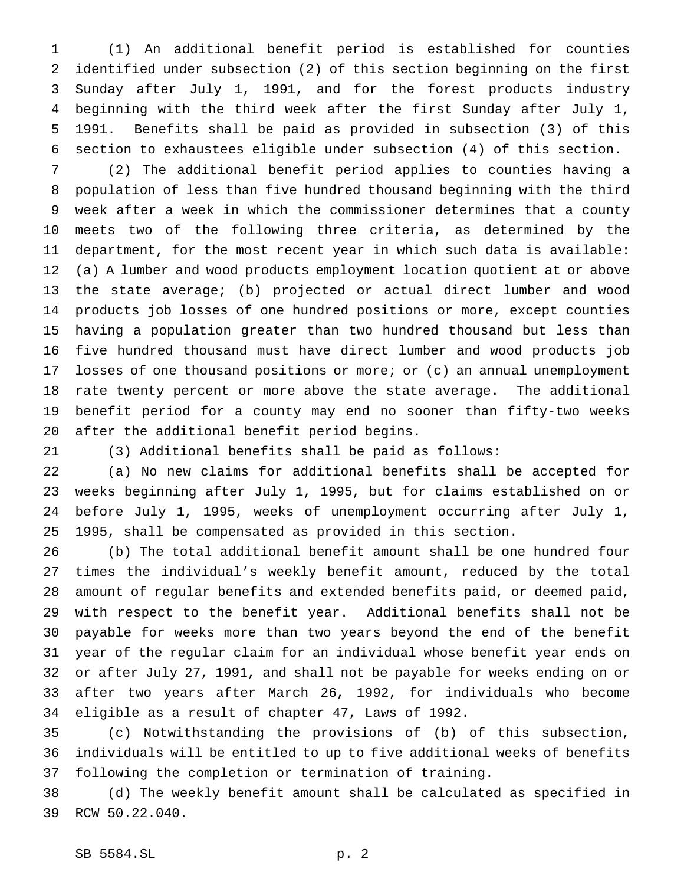(1) An additional benefit period is established for counties identified under subsection (2) of this section beginning on the first Sunday after July 1, 1991, and for the forest products industry beginning with the third week after the first Sunday after July 1, 1991. Benefits shall be paid as provided in subsection (3) of this section to exhaustees eligible under subsection (4) of this section.

 (2) The additional benefit period applies to counties having a population of less than five hundred thousand beginning with the third week after a week in which the commissioner determines that a county meets two of the following three criteria, as determined by the department, for the most recent year in which such data is available: (a) A lumber and wood products employment location quotient at or above the state average; (b) projected or actual direct lumber and wood products job losses of one hundred positions or more, except counties having a population greater than two hundred thousand but less than five hundred thousand must have direct lumber and wood products job losses of one thousand positions or more; or (c) an annual unemployment rate twenty percent or more above the state average. The additional benefit period for a county may end no sooner than fifty-two weeks after the additional benefit period begins.

(3) Additional benefits shall be paid as follows:

 (a) No new claims for additional benefits shall be accepted for weeks beginning after July 1, 1995, but for claims established on or before July 1, 1995, weeks of unemployment occurring after July 1, 1995, shall be compensated as provided in this section.

 (b) The total additional benefit amount shall be one hundred four times the individual's weekly benefit amount, reduced by the total amount of regular benefits and extended benefits paid, or deemed paid, with respect to the benefit year. Additional benefits shall not be payable for weeks more than two years beyond the end of the benefit year of the regular claim for an individual whose benefit year ends on or after July 27, 1991, and shall not be payable for weeks ending on or after two years after March 26, 1992, for individuals who become eligible as a result of chapter 47, Laws of 1992.

 (c) Notwithstanding the provisions of (b) of this subsection, individuals will be entitled to up to five additional weeks of benefits following the completion or termination of training.

 (d) The weekly benefit amount shall be calculated as specified in RCW 50.22.040.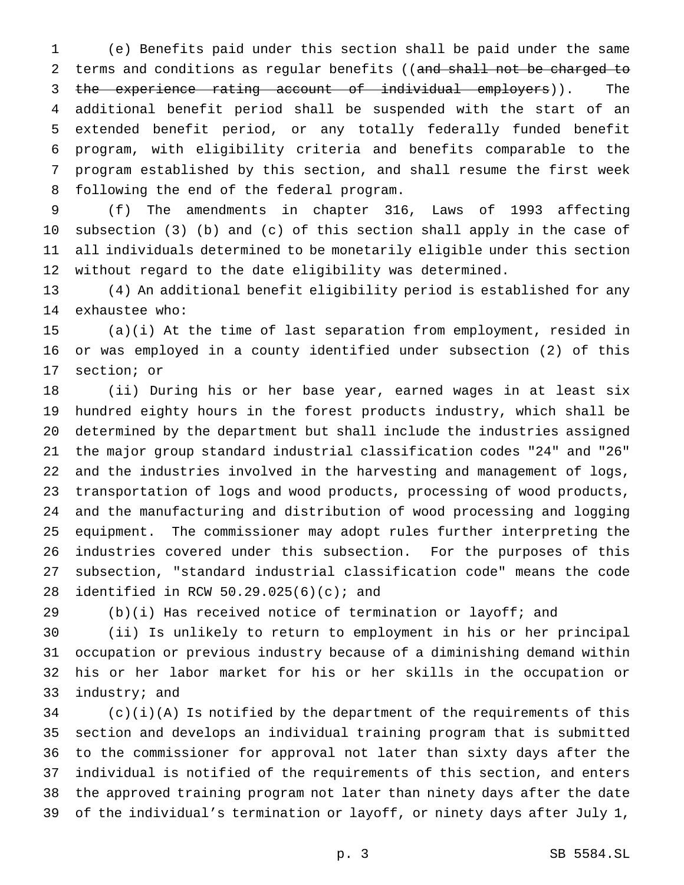(e) Benefits paid under this section shall be paid under the same 2 terms and conditions as regular benefits ((and shall not be charged to 3 the experience rating account of individual employers)). The additional benefit period shall be suspended with the start of an extended benefit period, or any totally federally funded benefit program, with eligibility criteria and benefits comparable to the program established by this section, and shall resume the first week following the end of the federal program.

 (f) The amendments in chapter 316, Laws of 1993 affecting subsection (3) (b) and (c) of this section shall apply in the case of all individuals determined to be monetarily eligible under this section without regard to the date eligibility was determined.

 (4) An additional benefit eligibility period is established for any exhaustee who:

 (a)(i) At the time of last separation from employment, resided in or was employed in a county identified under subsection (2) of this section; or

 (ii) During his or her base year, earned wages in at least six hundred eighty hours in the forest products industry, which shall be determined by the department but shall include the industries assigned the major group standard industrial classification codes "24" and "26" and the industries involved in the harvesting and management of logs, transportation of logs and wood products, processing of wood products, and the manufacturing and distribution of wood processing and logging equipment. The commissioner may adopt rules further interpreting the industries covered under this subsection. For the purposes of this subsection, "standard industrial classification code" means the code identified in RCW 50.29.025(6)(c); and

(b)(i) Has received notice of termination or layoff; and

 (ii) Is unlikely to return to employment in his or her principal occupation or previous industry because of a diminishing demand within his or her labor market for his or her skills in the occupation or industry; and

 (c)(i)(A) Is notified by the department of the requirements of this section and develops an individual training program that is submitted to the commissioner for approval not later than sixty days after the individual is notified of the requirements of this section, and enters the approved training program not later than ninety days after the date of the individual's termination or layoff, or ninety days after July 1,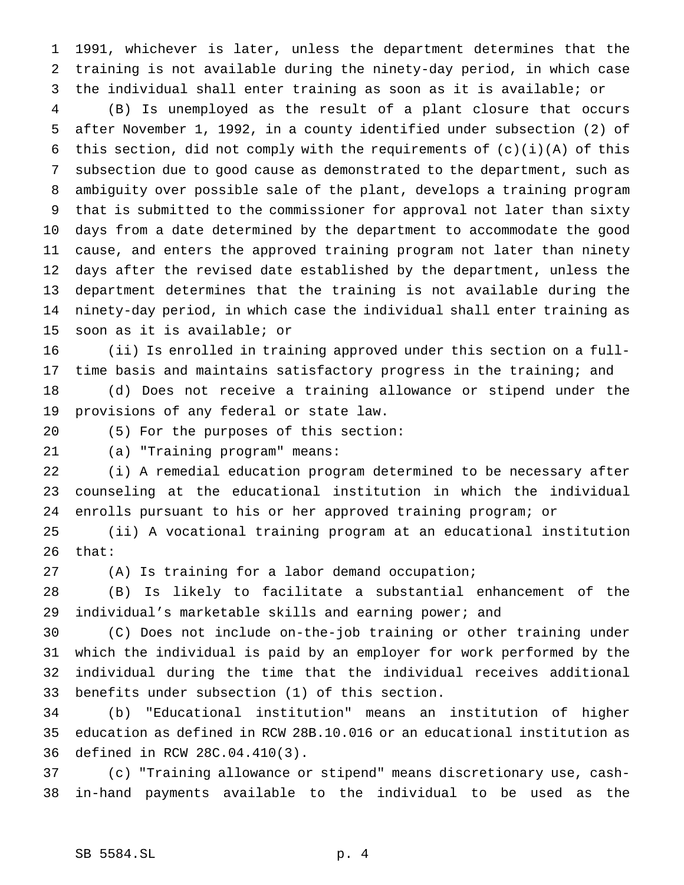1991, whichever is later, unless the department determines that the training is not available during the ninety-day period, in which case the individual shall enter training as soon as it is available; or

 (B) Is unemployed as the result of a plant closure that occurs after November 1, 1992, in a county identified under subsection (2) of 6 this section, did not comply with the requirements of  $(c)(i)(A)$  of this subsection due to good cause as demonstrated to the department, such as ambiguity over possible sale of the plant, develops a training program that is submitted to the commissioner for approval not later than sixty days from a date determined by the department to accommodate the good cause, and enters the approved training program not later than ninety days after the revised date established by the department, unless the department determines that the training is not available during the ninety-day period, in which case the individual shall enter training as soon as it is available; or

 (ii) Is enrolled in training approved under this section on a full-time basis and maintains satisfactory progress in the training; and

 (d) Does not receive a training allowance or stipend under the provisions of any federal or state law.

(5) For the purposes of this section:

(a) "Training program" means:

 (i) A remedial education program determined to be necessary after counseling at the educational institution in which the individual enrolls pursuant to his or her approved training program; or

 (ii) A vocational training program at an educational institution that:

(A) Is training for a labor demand occupation;

 (B) Is likely to facilitate a substantial enhancement of the individual's marketable skills and earning power; and

 (C) Does not include on-the-job training or other training under which the individual is paid by an employer for work performed by the individual during the time that the individual receives additional benefits under subsection (1) of this section.

 (b) "Educational institution" means an institution of higher education as defined in RCW 28B.10.016 or an educational institution as defined in RCW 28C.04.410(3).

 (c) "Training allowance or stipend" means discretionary use, cash-in-hand payments available to the individual to be used as the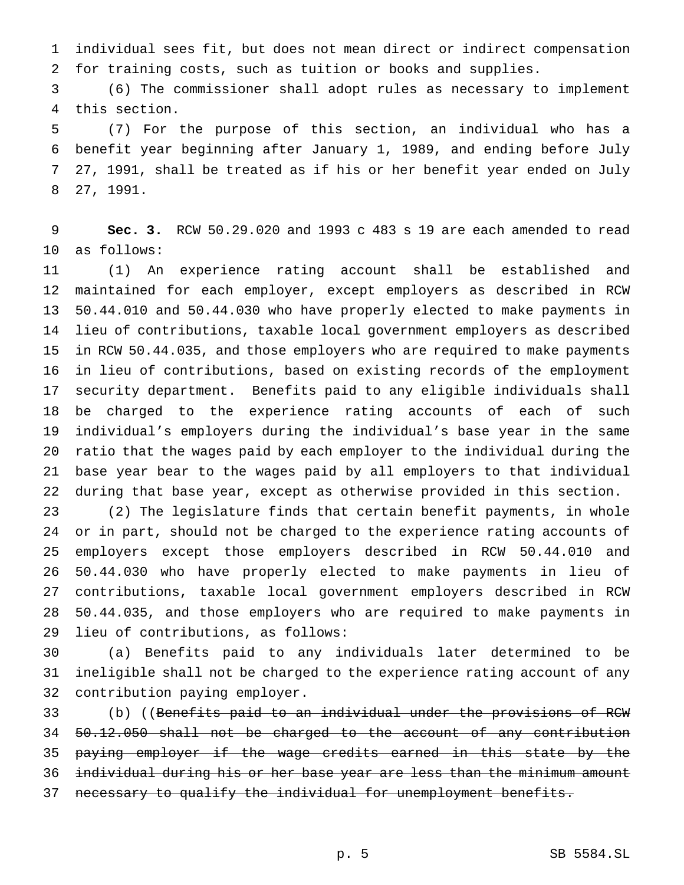individual sees fit, but does not mean direct or indirect compensation for training costs, such as tuition or books and supplies.

 (6) The commissioner shall adopt rules as necessary to implement this section.

 (7) For the purpose of this section, an individual who has a benefit year beginning after January 1, 1989, and ending before July 27, 1991, shall be treated as if his or her benefit year ended on July 27, 1991.

 **Sec. 3.** RCW 50.29.020 and 1993 c 483 s 19 are each amended to read as follows:

 (1) An experience rating account shall be established and maintained for each employer, except employers as described in RCW 50.44.010 and 50.44.030 who have properly elected to make payments in lieu of contributions, taxable local government employers as described in RCW 50.44.035, and those employers who are required to make payments in lieu of contributions, based on existing records of the employment security department. Benefits paid to any eligible individuals shall be charged to the experience rating accounts of each of such individual's employers during the individual's base year in the same ratio that the wages paid by each employer to the individual during the base year bear to the wages paid by all employers to that individual during that base year, except as otherwise provided in this section.

 (2) The legislature finds that certain benefit payments, in whole or in part, should not be charged to the experience rating accounts of employers except those employers described in RCW 50.44.010 and 50.44.030 who have properly elected to make payments in lieu of contributions, taxable local government employers described in RCW 50.44.035, and those employers who are required to make payments in lieu of contributions, as follows:

 (a) Benefits paid to any individuals later determined to be ineligible shall not be charged to the experience rating account of any contribution paying employer.

 (b) ((Benefits paid to an individual under the provisions of RCW 50.12.050 shall not be charged to the account of any contribution 35 paying employer if the wage credits earned in this state by the individual during his or her base year are less than the minimum amount necessary to qualify the individual for unemployment benefits.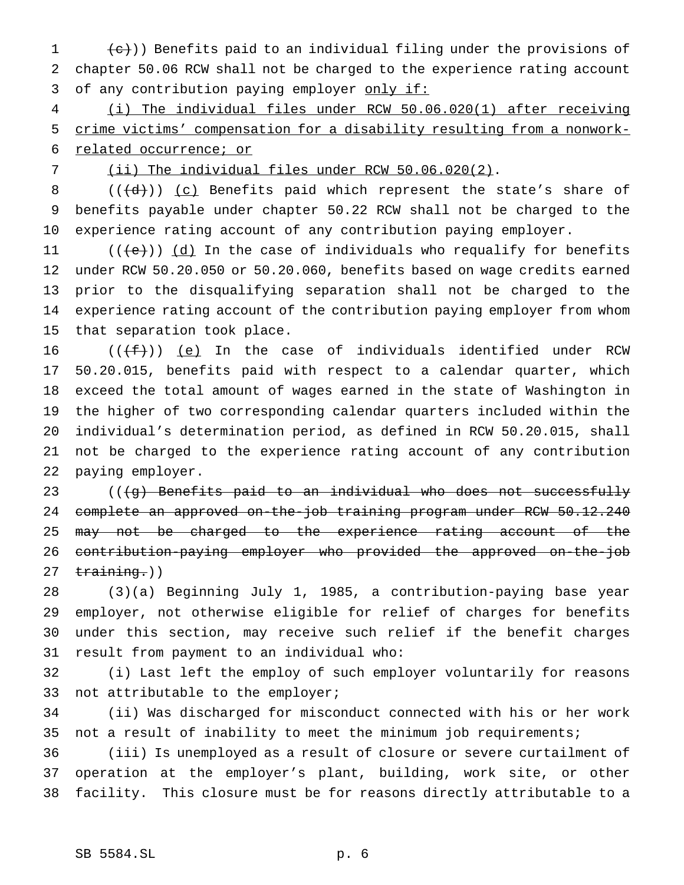$(e)$ )) Benefits paid to an individual filing under the provisions of chapter 50.06 RCW shall not be charged to the experience rating account 3 of any contribution paying employer only if:

 (i) The individual files under RCW 50.06.020(1) after receiving crime victims' compensation for a disability resulting from a nonwork-related occurrence; or

(ii) The individual files under RCW 50.06.020(2).

8  $((\{d\})\)$  (c) Benefits paid which represent the state's share of benefits payable under chapter 50.22 RCW shall not be charged to the experience rating account of any contribution paying employer.

 $((+e))$   $(d)$  In the case of individuals who requalify for benefits under RCW 50.20.050 or 50.20.060, benefits based on wage credits earned prior to the disqualifying separation shall not be charged to the experience rating account of the contribution paying employer from whom that separation took place.

 $((\text{f}))(e)$  In the case of individuals identified under RCW 50.20.015, benefits paid with respect to a calendar quarter, which exceed the total amount of wages earned in the state of Washington in the higher of two corresponding calendar quarters included within the individual's determination period, as defined in RCW 50.20.015, shall not be charged to the experience rating account of any contribution paying employer.

23 (((g) Benefits paid to an individual who does not successfully complete an approved on-the-job training program under RCW 50.12.240 25 <del>may not be charged to the experience rating account of the</del> contribution-paying employer who provided the approved on-the-job  $training.)$ 

 (3)(a) Beginning July 1, 1985, a contribution-paying base year employer, not otherwise eligible for relief of charges for benefits under this section, may receive such relief if the benefit charges result from payment to an individual who:

 (i) Last left the employ of such employer voluntarily for reasons 33 not attributable to the employer;

 (ii) Was discharged for misconduct connected with his or her work not a result of inability to meet the minimum job requirements;

 (iii) Is unemployed as a result of closure or severe curtailment of operation at the employer's plant, building, work site, or other facility. This closure must be for reasons directly attributable to a